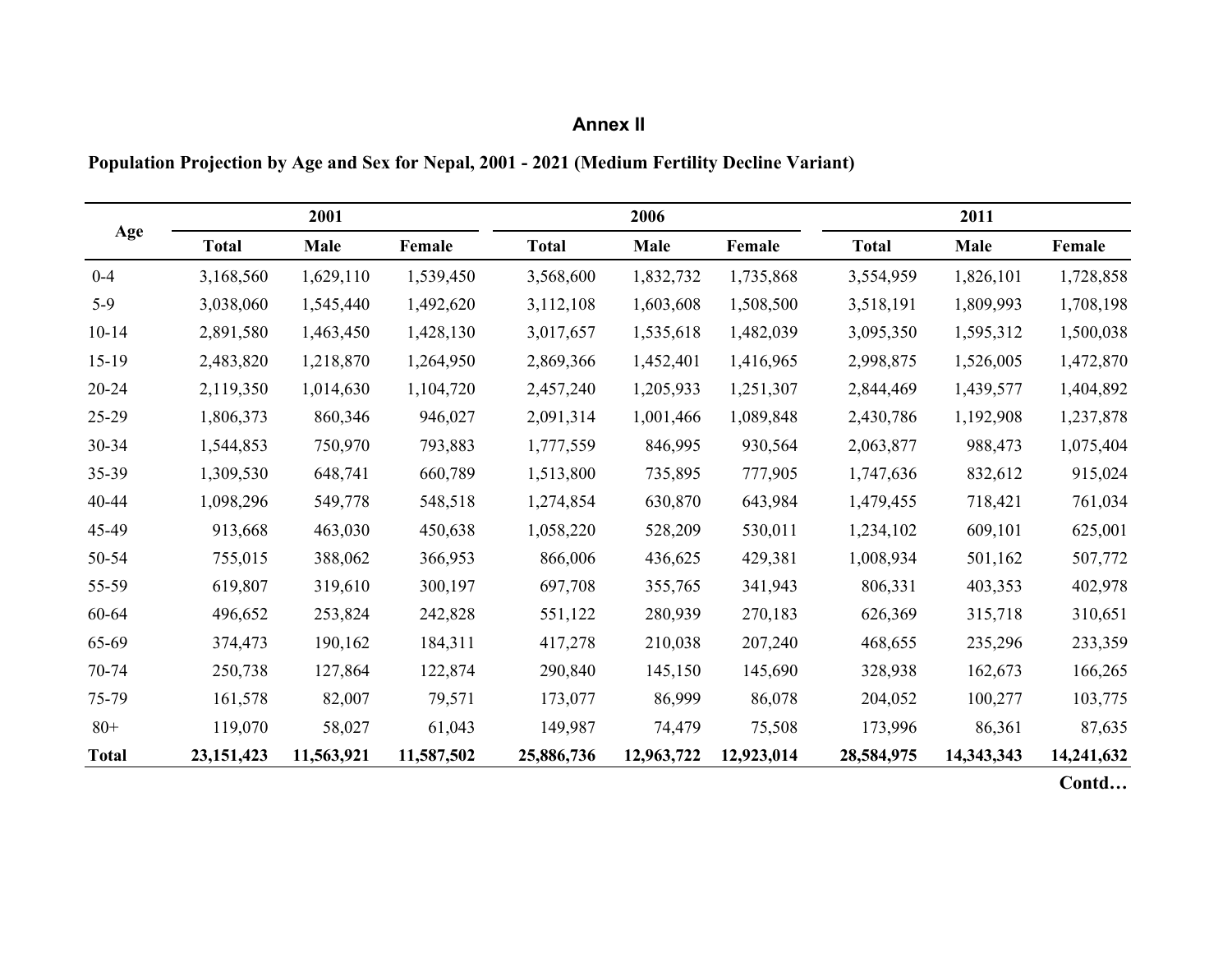## **Annex II**

## **Population Projection by Age and Sex for Nepal, 2001 - 2021 (Medium Fertility Decline Variant)**

|              |              | 2001       |            |              | 2006       |            |              | 2011       |            |
|--------------|--------------|------------|------------|--------------|------------|------------|--------------|------------|------------|
| Age          | <b>Total</b> | Male       | Female     | <b>Total</b> | Male       | Female     | <b>Total</b> | Male       | Female     |
| $0 - 4$      | 3,168,560    | 1,629,110  | 1,539,450  | 3,568,600    | 1,832,732  | 1,735,868  | 3,554,959    | 1,826,101  | 1,728,858  |
| $5-9$        | 3,038,060    | 1,545,440  | 1,492,620  | 3,112,108    | 1,603,608  | 1,508,500  | 3,518,191    | 1,809,993  | 1,708,198  |
| $10 - 14$    | 2,891,580    | 1,463,450  | 1,428,130  | 3,017,657    | 1,535,618  | 1,482,039  | 3,095,350    | 1,595,312  | 1,500,038  |
| $15-19$      | 2,483,820    | 1,218,870  | 1,264,950  | 2,869,366    | 1,452,401  | 1,416,965  | 2,998,875    | 1,526,005  | 1,472,870  |
| $20 - 24$    | 2,119,350    | 1,014,630  | 1,104,720  | 2,457,240    | 1,205,933  | 1,251,307  | 2,844,469    | 1,439,577  | 1,404,892  |
| 25-29        | 1,806,373    | 860,346    | 946,027    | 2,091,314    | 1,001,466  | 1,089,848  | 2,430,786    | 1,192,908  | 1,237,878  |
| 30-34        | 1,544,853    | 750,970    | 793,883    | 1,777,559    | 846,995    | 930,564    | 2,063,877    | 988,473    | 1,075,404  |
| 35-39        | 1,309,530    | 648,741    | 660,789    | 1,513,800    | 735,895    | 777,905    | 1,747,636    | 832,612    | 915,024    |
| 40-44        | 1,098,296    | 549,778    | 548,518    | 1,274,854    | 630,870    | 643,984    | 1,479,455    | 718,421    | 761,034    |
| 45-49        | 913,668      | 463,030    | 450,638    | 1,058,220    | 528,209    | 530,011    | 1,234,102    | 609,101    | 625,001    |
| 50-54        | 755,015      | 388,062    | 366,953    | 866,006      | 436,625    | 429,381    | 1,008,934    | 501,162    | 507,772    |
| 55-59        | 619,807      | 319,610    | 300,197    | 697,708      | 355,765    | 341,943    | 806,331      | 403,353    | 402,978    |
| 60-64        | 496,652      | 253,824    | 242,828    | 551,122      | 280,939    | 270,183    | 626,369      | 315,718    | 310,651    |
| 65-69        | 374,473      | 190,162    | 184,311    | 417,278      | 210,038    | 207,240    | 468,655      | 235,296    | 233,359    |
| 70-74        | 250,738      | 127,864    | 122,874    | 290,840      | 145,150    | 145,690    | 328,938      | 162,673    | 166,265    |
| 75-79        | 161,578      | 82,007     | 79,571     | 173,077      | 86,999     | 86,078     | 204,052      | 100,277    | 103,775    |
| $80+$        | 119,070      | 58,027     | 61,043     | 149,987      | 74,479     | 75,508     | 173,996      | 86,361     | 87,635     |
| <b>Total</b> | 23, 151, 423 | 11,563,921 | 11,587,502 | 25,886,736   | 12,963,722 | 12,923,014 | 28,584,975   | 14,343,343 | 14,241,632 |
|              |              |            |            |              |            |            |              |            | Contd      |